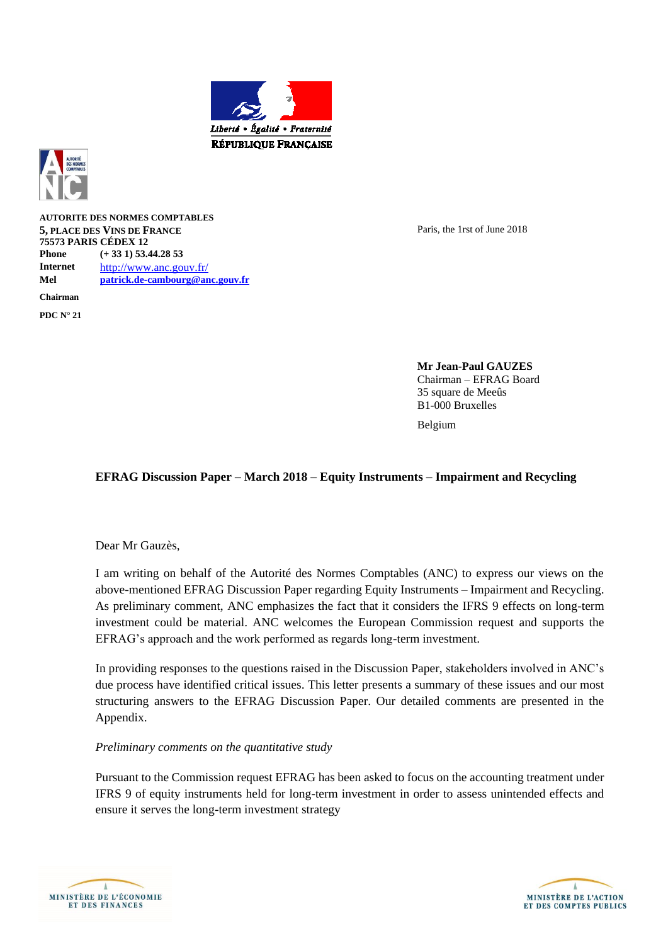



**AUTORITE DES NORMES COMPTABLES 5, PLACE DES VINS DE FRANCE 75573 PARIS CÉDEX 12 Phone (+ 33 1) 53.44.28 53 Internet** <http://www.anc.gouv.fr/> **Mel [patrick.de-cambourg@anc.gouv.fr](mailto:patrick.de-cambourg@anc.gouv.fr) Chairman**

**PDC N° 21**

Paris, the 1rst of June 2018

**Mr Jean-Paul GAUZES** Chairman – EFRAG Board 35 square de Meeûs B1-000 Bruxelles

Belgium

#### **EFRAG Discussion Paper – March 2018 – Equity Instruments – Impairment and Recycling**

Dear Mr Gauzès,

I am writing on behalf of the Autorité des Normes Comptables (ANC) to express our views on the above-mentioned EFRAG Discussion Paper regarding Equity Instruments – Impairment and Recycling. As preliminary comment, ANC emphasizes the fact that it considers the IFRS 9 effects on long-term investment could be material. ANC welcomes the European Commission request and supports the EFRAG's approach and the work performed as regards long-term investment.

In providing responses to the questions raised in the Discussion Paper, stakeholders involved in ANC's due process have identified critical issues. This letter presents a summary of these issues and our most structuring answers to the EFRAG Discussion Paper. Our detailed comments are presented in the Appendix.

#### *Preliminary comments on the quantitative study*

Pursuant to the Commission request EFRAG has been asked to focus on the accounting treatment under IFRS 9 of equity instruments held for long-term investment in order to assess unintended effects and ensure it serves the long-term investment strategy



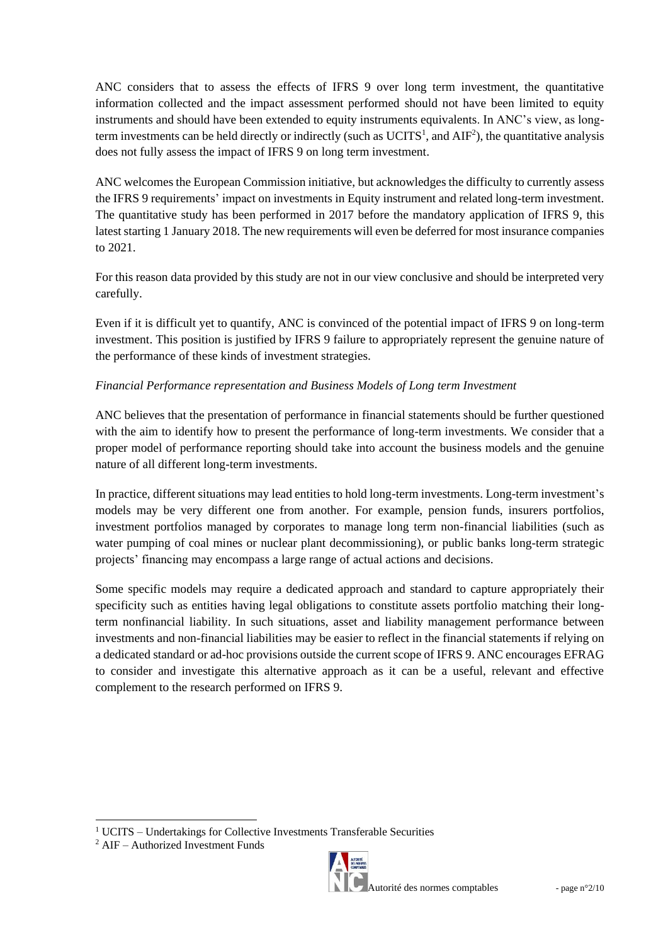ANC considers that to assess the effects of IFRS 9 over long term investment, the quantitative information collected and the impact assessment performed should not have been limited to equity instruments and should have been extended to equity instruments equivalents. In ANC's view, as longterm investments can be held directly or indirectly (such as  $\text{UCITS}^1$ , and  $\text{AIF}^2$ ), the quantitative analysis does not fully assess the impact of IFRS 9 on long term investment.

ANC welcomes the European Commission initiative, but acknowledges the difficulty to currently assess the IFRS 9 requirements' impact on investments in Equity instrument and related long-term investment. The quantitative study has been performed in 2017 before the mandatory application of IFRS 9, this latest starting 1 January 2018. The new requirements will even be deferred for most insurance companies to 2021.

For this reason data provided by this study are not in our view conclusive and should be interpreted very carefully.

Even if it is difficult yet to quantify, ANC is convinced of the potential impact of IFRS 9 on long-term investment. This position is justified by IFRS 9 failure to appropriately represent the genuine nature of the performance of these kinds of investment strategies.

# *Financial Performance representation and Business Models of Long term Investment*

ANC believes that the presentation of performance in financial statements should be further questioned with the aim to identify how to present the performance of long-term investments. We consider that a proper model of performance reporting should take into account the business models and the genuine nature of all different long-term investments.

In practice, different situations may lead entities to hold long-term investments. Long-term investment's models may be very different one from another. For example, pension funds, insurers portfolios, investment portfolios managed by corporates to manage long term non-financial liabilities (such as water pumping of coal mines or nuclear plant decommissioning), or public banks long-term strategic projects' financing may encompass a large range of actual actions and decisions.

Some specific models may require a dedicated approach and standard to capture appropriately their specificity such as entities having legal obligations to constitute assets portfolio matching their longterm nonfinancial liability. In such situations, asset and liability management performance between investments and non-financial liabilities may be easier to reflect in the financial statements if relying on a dedicated standard or ad-hoc provisions outside the current scope of IFRS 9. ANC encourages EFRAG to consider and investigate this alternative approach as it can be a useful, relevant and effective complement to the research performed on IFRS 9.

l



utorité des normes comptables  $-$  page n°2/10

<sup>&</sup>lt;sup>1</sup> UCITS – Undertakings for Collective Investments Transferable Securities

<sup>2</sup> AIF – Authorized Investment Funds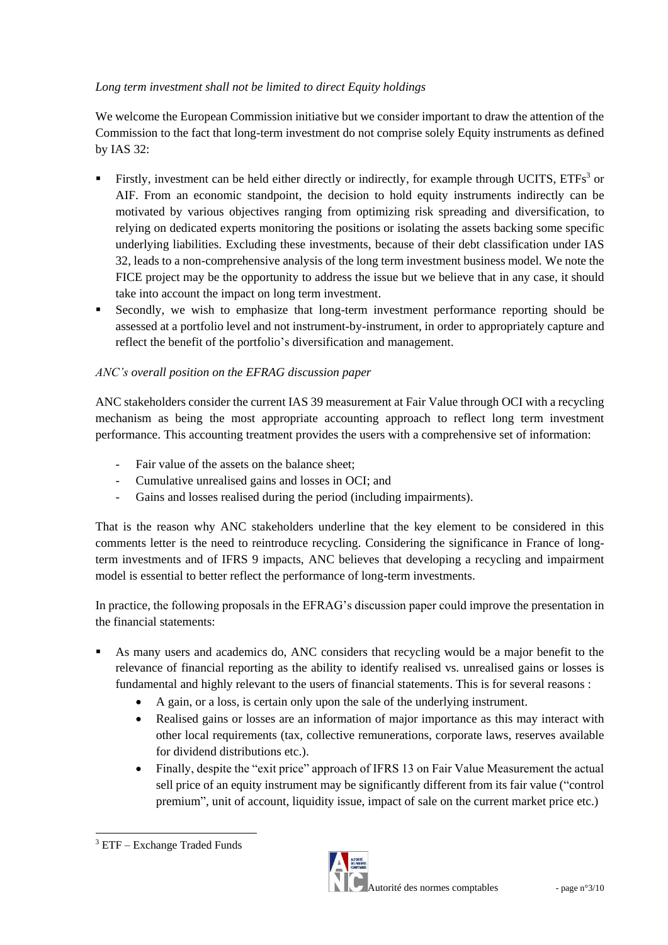# *Long term investment shall not be limited to direct Equity holdings*

We welcome the European Commission initiative but we consider important to draw the attention of the Commission to the fact that long-term investment do not comprise solely Equity instruments as defined by IAS 32:

- Firstly, investment can be held either directly or indirectly, for example through UCITS,  $ETFs<sup>3</sup>$  or AIF. From an economic standpoint, the decision to hold equity instruments indirectly can be motivated by various objectives ranging from optimizing risk spreading and diversification, to relying on dedicated experts monitoring the positions or isolating the assets backing some specific underlying liabilities. Excluding these investments, because of their debt classification under IAS 32, leads to a non-comprehensive analysis of the long term investment business model. We note the FICE project may be the opportunity to address the issue but we believe that in any case, it should take into account the impact on long term investment.
- Secondly, we wish to emphasize that long-term investment performance reporting should be assessed at a portfolio level and not instrument-by-instrument, in order to appropriately capture and reflect the benefit of the portfolio's diversification and management.

# *ANC's overall position on the EFRAG discussion paper*

ANC stakeholders consider the current IAS 39 measurement at Fair Value through OCI with a recycling mechanism as being the most appropriate accounting approach to reflect long term investment performance. This accounting treatment provides the users with a comprehensive set of information:

- Fair value of the assets on the balance sheet:
- Cumulative unrealised gains and losses in OCI; and
- Gains and losses realised during the period (including impairments).

That is the reason why ANC stakeholders underline that the key element to be considered in this comments letter is the need to reintroduce recycling. Considering the significance in France of longterm investments and of IFRS 9 impacts, ANC believes that developing a recycling and impairment model is essential to better reflect the performance of long-term investments.

In practice, the following proposals in the EFRAG's discussion paper could improve the presentation in the financial statements:

- As many users and academics do, ANC considers that recycling would be a major benefit to the relevance of financial reporting as the ability to identify realised vs. unrealised gains or losses is fundamental and highly relevant to the users of financial statements. This is for several reasons :
	- A gain, or a loss, is certain only upon the sale of the underlying instrument.
	- Realised gains or losses are an information of major importance as this may interact with other local requirements (tax, collective remunerations, corporate laws, reserves available for dividend distributions etc.).
	- Finally, despite the "exit price" approach of IFRS 13 on Fair Value Measurement the actual sell price of an equity instrument may be significantly different from its fair value ("control premium", unit of account, liquidity issue, impact of sale on the current market price etc.)



l <sup>3</sup> ETF – Exchange Traded Funds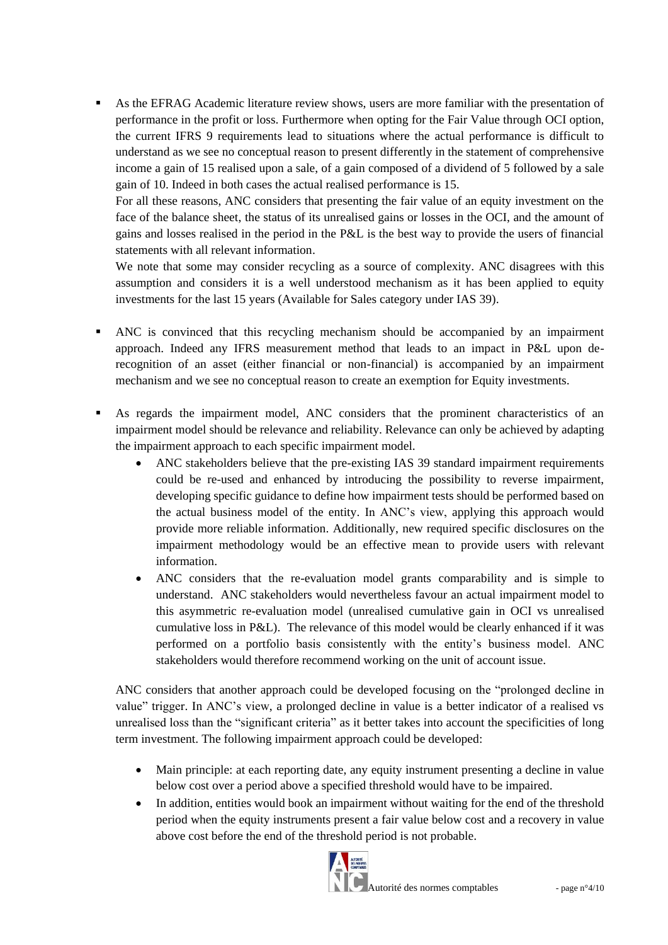As the EFRAG Academic literature review shows, users are more familiar with the presentation of performance in the profit or loss. Furthermore when opting for the Fair Value through OCI option, the current IFRS 9 requirements lead to situations where the actual performance is difficult to understand as we see no conceptual reason to present differently in the statement of comprehensive income a gain of 15 realised upon a sale, of a gain composed of a dividend of 5 followed by a sale gain of 10. Indeed in both cases the actual realised performance is 15.

For all these reasons, ANC considers that presenting the fair value of an equity investment on the face of the balance sheet, the status of its unrealised gains or losses in the OCI, and the amount of gains and losses realised in the period in the P&L is the best way to provide the users of financial statements with all relevant information.

We note that some may consider recycling as a source of complexity. ANC disagrees with this assumption and considers it is a well understood mechanism as it has been applied to equity investments for the last 15 years (Available for Sales category under IAS 39).

- ANC is convinced that this recycling mechanism should be accompanied by an impairment approach. Indeed any IFRS measurement method that leads to an impact in P&L upon derecognition of an asset (either financial or non-financial) is accompanied by an impairment mechanism and we see no conceptual reason to create an exemption for Equity investments.
- As regards the impairment model, ANC considers that the prominent characteristics of an impairment model should be relevance and reliability. Relevance can only be achieved by adapting the impairment approach to each specific impairment model.
	- ANC stakeholders believe that the pre-existing IAS 39 standard impairment requirements could be re-used and enhanced by introducing the possibility to reverse impairment, developing specific guidance to define how impairment tests should be performed based on the actual business model of the entity. In ANC's view, applying this approach would provide more reliable information. Additionally, new required specific disclosures on the impairment methodology would be an effective mean to provide users with relevant information.
	- ANC considers that the re-evaluation model grants comparability and is simple to understand. ANC stakeholders would nevertheless favour an actual impairment model to this asymmetric re-evaluation model (unrealised cumulative gain in OCI vs unrealised cumulative loss in P&L). The relevance of this model would be clearly enhanced if it was performed on a portfolio basis consistently with the entity's business model. ANC stakeholders would therefore recommend working on the unit of account issue.

ANC considers that another approach could be developed focusing on the "prolonged decline in value" trigger. In ANC's view, a prolonged decline in value is a better indicator of a realised vs unrealised loss than the "significant criteria" as it better takes into account the specificities of long term investment. The following impairment approach could be developed:

- Main principle: at each reporting date, any equity instrument presenting a decline in value below cost over a period above a specified threshold would have to be impaired.
- In addition, entities would book an impairment without waiting for the end of the threshold period when the equity instruments present a fair value below cost and a recovery in value above cost before the end of the threshold period is not probable.

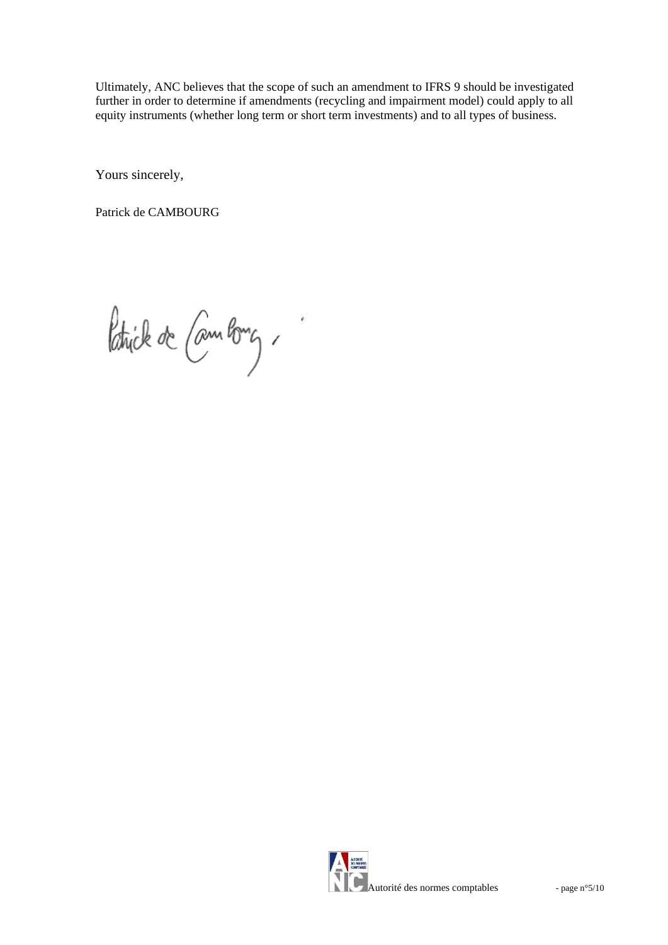Ultimately, ANC believes that the scope of such an amendment to IFRS 9 should be investigated further in order to determine if amendments (recycling and impairment model) could apply to all equity instruments (whether long term or short term investments) and to all types of business.

Yours sincerely,

Patrick de CAMBOURG

Patrick de Cambong,

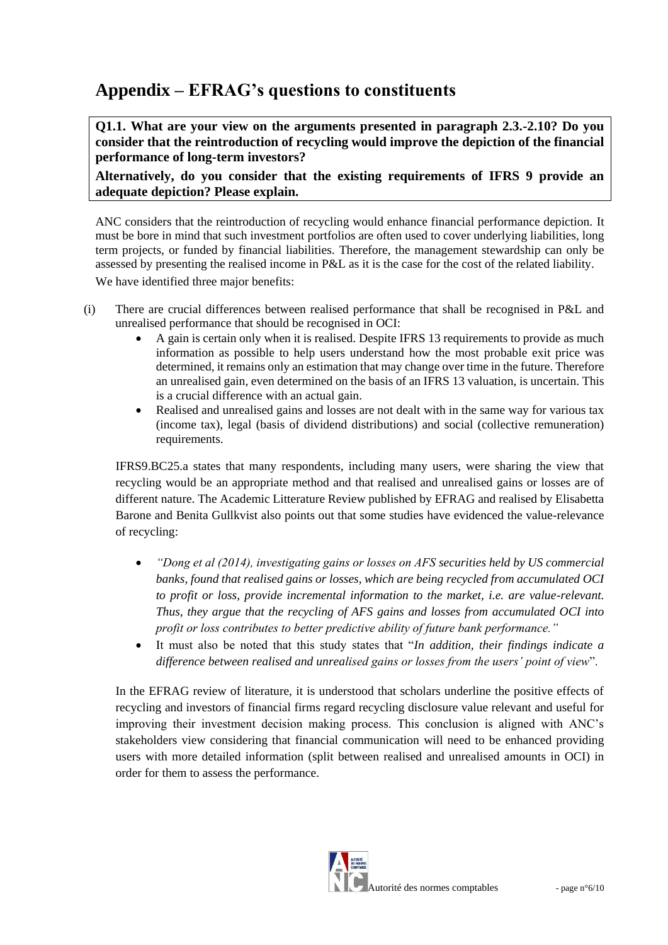# **Appendix – EFRAG's questions to constituents**

**Q1.1. What are your view on the arguments presented in paragraph 2.3.-2.10? Do you consider that the reintroduction of recycling would improve the depiction of the financial performance of long-term investors?**

**Alternatively, do you consider that the existing requirements of IFRS 9 provide an adequate depiction? Please explain.**

ANC considers that the reintroduction of recycling would enhance financial performance depiction. It must be bore in mind that such investment portfolios are often used to cover underlying liabilities, long term projects, or funded by financial liabilities. Therefore, the management stewardship can only be assessed by presenting the realised income in P&L as it is the case for the cost of the related liability. We have identified three major benefits:

- (i) There are crucial differences between realised performance that shall be recognised in P&L and unrealised performance that should be recognised in OCI:
	- A gain is certain only when it is realised. Despite IFRS 13 requirements to provide as much information as possible to help users understand how the most probable exit price was determined, it remains only an estimation that may change over time in the future. Therefore an unrealised gain, even determined on the basis of an IFRS 13 valuation, is uncertain. This is a crucial difference with an actual gain.
	- Realised and unrealised gains and losses are not dealt with in the same way for various tax (income tax), legal (basis of dividend distributions) and social (collective remuneration) requirements.

IFRS9.BC25.a states that many respondents, including many users, were sharing the view that recycling would be an appropriate method and that realised and unrealised gains or losses are of different nature. The Academic Litterature Review published by EFRAG and realised by Elisabetta Barone and Benita Gullkvist also points out that some studies have evidenced the value-relevance of recycling:

- *"Dong et al (2014), investigating gains or losses on AFS securities held by US commercial banks, found that realised gains or losses, which are being recycled from accumulated OCI to profit or loss, provide incremental information to the market, i.e. are value-relevant. Thus, they argue that the recycling of AFS gains and losses from accumulated OCI into profit or loss contributes to better predictive ability of future bank performance."*
- It must also be noted that this study states that "*In addition, their findings indicate a difference between realised and unrealised gains or losses from the users' point of view*".

In the EFRAG review of literature, it is understood that scholars underline the positive effects of recycling and investors of financial firms regard recycling disclosure value relevant and useful for improving their investment decision making process. This conclusion is aligned with ANC's stakeholders view considering that financial communication will need to be enhanced providing users with more detailed information (split between realised and unrealised amounts in OCI) in order for them to assess the performance.

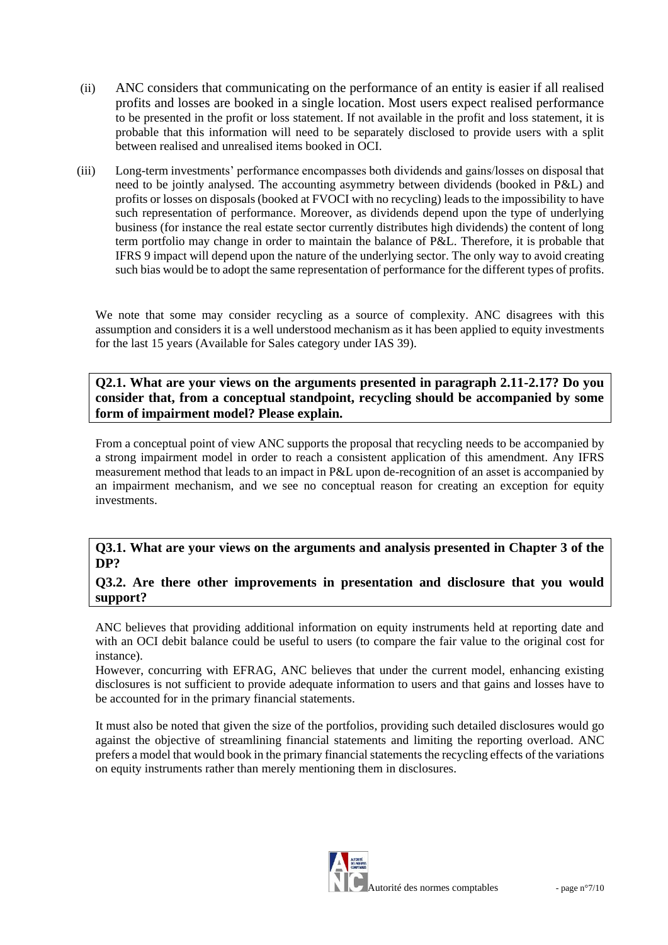- (ii) ANC considers that communicating on the performance of an entity is easier if all realised profits and losses are booked in a single location. Most users expect realised performance to be presented in the profit or loss statement. If not available in the profit and loss statement, it is probable that this information will need to be separately disclosed to provide users with a split between realised and unrealised items booked in OCI.
- (iii) Long-term investments' performance encompasses both dividends and gains/losses on disposal that need to be jointly analysed. The accounting asymmetry between dividends (booked in P&L) and profits or losses on disposals (booked at FVOCI with no recycling) leads to the impossibility to have such representation of performance. Moreover, as dividends depend upon the type of underlying business (for instance the real estate sector currently distributes high dividends) the content of long term portfolio may change in order to maintain the balance of P&L. Therefore, it is probable that IFRS 9 impact will depend upon the nature of the underlying sector. The only way to avoid creating such bias would be to adopt the same representation of performance for the different types of profits.

We note that some may consider recycling as a source of complexity. ANC disagrees with this assumption and considers it is a well understood mechanism as it has been applied to equity investments for the last 15 years (Available for Sales category under IAS 39).

**Q2.1. What are your views on the arguments presented in paragraph 2.11-2.17? Do you consider that, from a conceptual standpoint, recycling should be accompanied by some form of impairment model? Please explain.** 

From a conceptual point of view ANC supports the proposal that recycling needs to be accompanied by a strong impairment model in order to reach a consistent application of this amendment. Any IFRS measurement method that leads to an impact in P&L upon de-recognition of an asset is accompanied by an impairment mechanism, and we see no conceptual reason for creating an exception for equity investments.

**Q3.1. What are your views on the arguments and analysis presented in Chapter 3 of the DP?**

**Q3.2. Are there other improvements in presentation and disclosure that you would support?** 

ANC believes that providing additional information on equity instruments held at reporting date and with an OCI debit balance could be useful to users (to compare the fair value to the original cost for instance).

However, concurring with EFRAG, ANC believes that under the current model, enhancing existing disclosures is not sufficient to provide adequate information to users and that gains and losses have to be accounted for in the primary financial statements.

It must also be noted that given the size of the portfolios, providing such detailed disclosures would go against the objective of streamlining financial statements and limiting the reporting overload. ANC prefers a model that would book in the primary financial statements the recycling effects of the variations on equity instruments rather than merely mentioning them in disclosures.

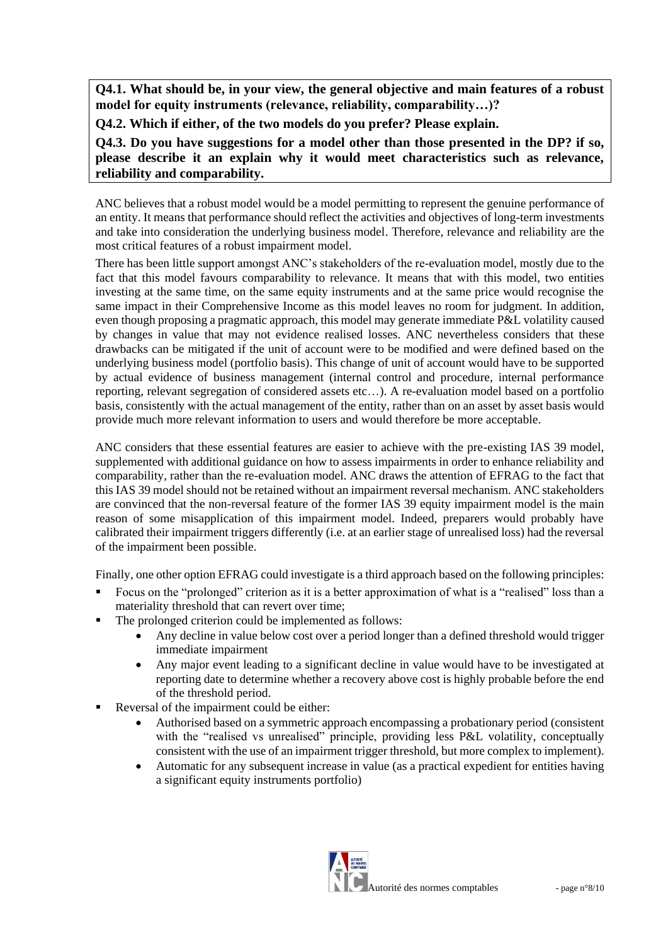**Q4.1. What should be, in your view, the general objective and main features of a robust model for equity instruments (relevance, reliability, comparability…)?**

**Q4.2. Which if either, of the two models do you prefer? Please explain.**

**Q4.3. Do you have suggestions for a model other than those presented in the DP? if so, please describe it an explain why it would meet characteristics such as relevance, reliability and comparability.**

ANC believes that a robust model would be a model permitting to represent the genuine performance of an entity. It means that performance should reflect the activities and objectives of long-term investments and take into consideration the underlying business model. Therefore, relevance and reliability are the most critical features of a robust impairment model.

There has been little support amongst ANC's stakeholders of the re-evaluation model, mostly due to the fact that this model favours comparability to relevance. It means that with this model, two entities investing at the same time, on the same equity instruments and at the same price would recognise the same impact in their Comprehensive Income as this model leaves no room for judgment. In addition, even though proposing a pragmatic approach, this model may generate immediate P&L volatility caused by changes in value that may not evidence realised losses. ANC nevertheless considers that these drawbacks can be mitigated if the unit of account were to be modified and were defined based on the underlying business model (portfolio basis). This change of unit of account would have to be supported by actual evidence of business management (internal control and procedure, internal performance reporting, relevant segregation of considered assets etc…). A re-evaluation model based on a portfolio basis, consistently with the actual management of the entity, rather than on an asset by asset basis would provide much more relevant information to users and would therefore be more acceptable.

ANC considers that these essential features are easier to achieve with the pre-existing IAS 39 model, supplemented with additional guidance on how to assess impairments in order to enhance reliability and comparability, rather than the re-evaluation model. ANC draws the attention of EFRAG to the fact that this IAS 39 model should not be retained without an impairment reversal mechanism. ANC stakeholders are convinced that the non-reversal feature of the former IAS 39 equity impairment model is the main reason of some misapplication of this impairment model. Indeed, preparers would probably have calibrated their impairment triggers differently (i.e. at an earlier stage of unrealised loss) had the reversal of the impairment been possible.

Finally, one other option EFRAG could investigate is a third approach based on the following principles:

- Focus on the "prolonged" criterion as it is a better approximation of what is a "realised" loss than a materiality threshold that can revert over time;
- The prolonged criterion could be implemented as follows:
	- Any decline in value below cost over a period longer than a defined threshold would trigger immediate impairment
	- Any major event leading to a significant decline in value would have to be investigated at reporting date to determine whether a recovery above cost is highly probable before the end of the threshold period.
- Reversal of the impairment could be either:
	- Authorised based on a symmetric approach encompassing a probationary period (consistent with the "realised vs unrealised" principle, providing less P&L volatility, conceptually consistent with the use of an impairment trigger threshold, but more complex to implement).
	- Automatic for any subsequent increase in value (as a practical expedient for entities having a significant equity instruments portfolio)

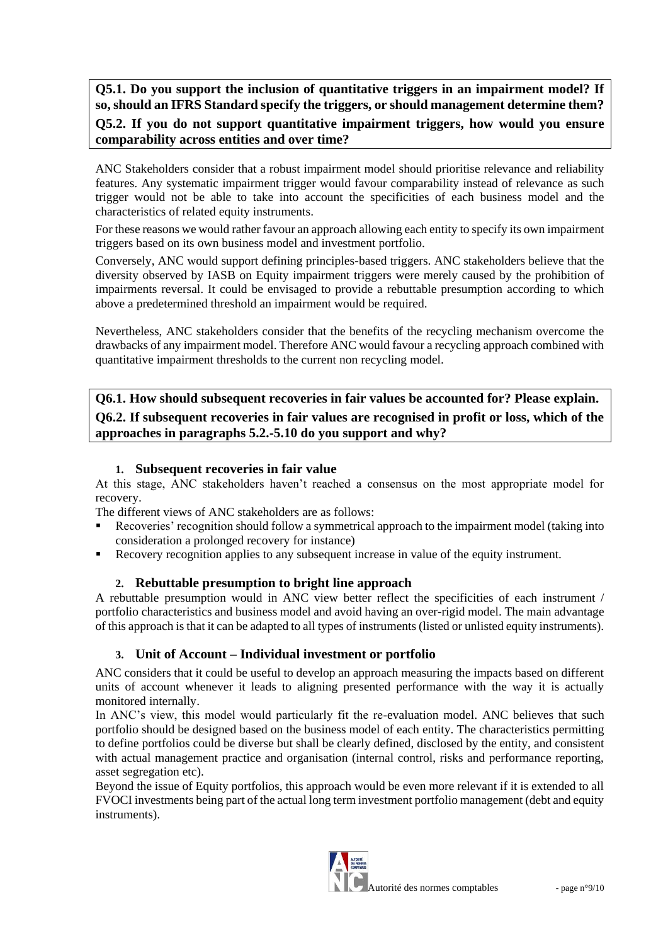**Q5.1. Do you support the inclusion of quantitative triggers in an impairment model? If so, should an IFRS Standard specify the triggers, or should management determine them? Q5.2. If you do not support quantitative impairment triggers, how would you ensure comparability across entities and over time?** 

ANC Stakeholders consider that a robust impairment model should prioritise relevance and reliability features. Any systematic impairment trigger would favour comparability instead of relevance as such trigger would not be able to take into account the specificities of each business model and the characteristics of related equity instruments.

For these reasons we would rather favour an approach allowing each entity to specify its own impairment triggers based on its own business model and investment portfolio.

Conversely, ANC would support defining principles-based triggers. ANC stakeholders believe that the diversity observed by IASB on Equity impairment triggers were merely caused by the prohibition of impairments reversal. It could be envisaged to provide a rebuttable presumption according to which above a predetermined threshold an impairment would be required.

Nevertheless, ANC stakeholders consider that the benefits of the recycling mechanism overcome the drawbacks of any impairment model. Therefore ANC would favour a recycling approach combined with quantitative impairment thresholds to the current non recycling model.

**Q6.1. How should subsequent recoveries in fair values be accounted for? Please explain. Q6.2. If subsequent recoveries in fair values are recognised in profit or loss, which of the approaches in paragraphs 5.2.-5.10 do you support and why?**

# **1. Subsequent recoveries in fair value**

At this stage, ANC stakeholders haven't reached a consensus on the most appropriate model for recovery.

The different views of ANC stakeholders are as follows:

- Recoveries' recognition should follow a symmetrical approach to the impairment model (taking into consideration a prolonged recovery for instance)
- Recovery recognition applies to any subsequent increase in value of the equity instrument.

#### **2. Rebuttable presumption to bright line approach**

A rebuttable presumption would in ANC view better reflect the specificities of each instrument / portfolio characteristics and business model and avoid having an over-rigid model. The main advantage of this approach is that it can be adapted to all types of instruments (listed or unlisted equity instruments).

#### **3. Unit of Account – Individual investment or portfolio**

ANC considers that it could be useful to develop an approach measuring the impacts based on different units of account whenever it leads to aligning presented performance with the way it is actually monitored internally.

In ANC's view, this model would particularly fit the re-evaluation model. ANC believes that such portfolio should be designed based on the business model of each entity. The characteristics permitting to define portfolios could be diverse but shall be clearly defined, disclosed by the entity, and consistent with actual management practice and organisation (internal control, risks and performance reporting, asset segregation etc).

Beyond the issue of Equity portfolios, this approach would be even more relevant if it is extended to all FVOCI investments being part of the actual long term investment portfolio management (debt and equity instruments).